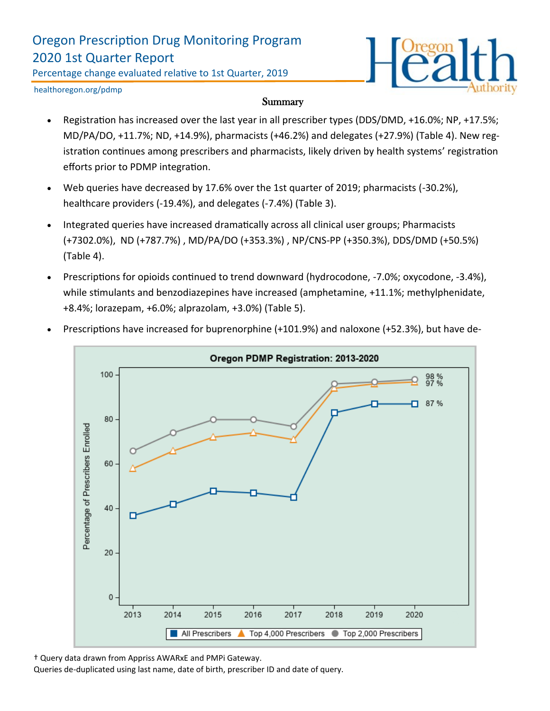# Oregon Prescription Drug Monitoring Program 2020 1st Quarter Report

Percentage change evaluated relative to 1st Quarter, 2019



healthoregon.org/pdmp

#### **Summary**

- Registration has increased over the last year in all prescriber types (DDS/DMD, +16.0%; NP, +17.5%; MD/PA/DO, +11.7%; ND, +14.9%), pharmacists (+46.2%) and delegates (+27.9%) (Table 4). New registration continues among prescribers and pharmacists, likely driven by health systems' registration efforts prior to PDMP integration.
- Web queries have decreased by 17.6% over the 1st quarter of 2019; pharmacists (-30.2%), healthcare providers (-19.4%), and delegates (-7.4%) (Table 3).
- Integrated queries have increased dramatically across all clinical user groups; Pharmacists (+7302.0%), ND (+787.7%) , MD/PA/DO (+353.3%) , NP/CNS-PP (+350.3%), DDS/DMD (+50.5%) (Table 4).
- Prescriptions for opioids continued to trend downward (hydrocodone, -7.0%; oxycodone, -3.4%), while stimulants and benzodiazepines have increased (amphetamine, +11.1%; methylphenidate, +8.4%; lorazepam, +6.0%; alprazolam, +3.0%) (Table 5).



• Prescriptions have increased for buprenorphine (+101.9%) and naloxone (+52.3%), but have de-

† Query data drawn from Appriss AWARxE and PMPi Gateway.

Queries de-duplicated using last name, date of birth, prescriber ID and date of query.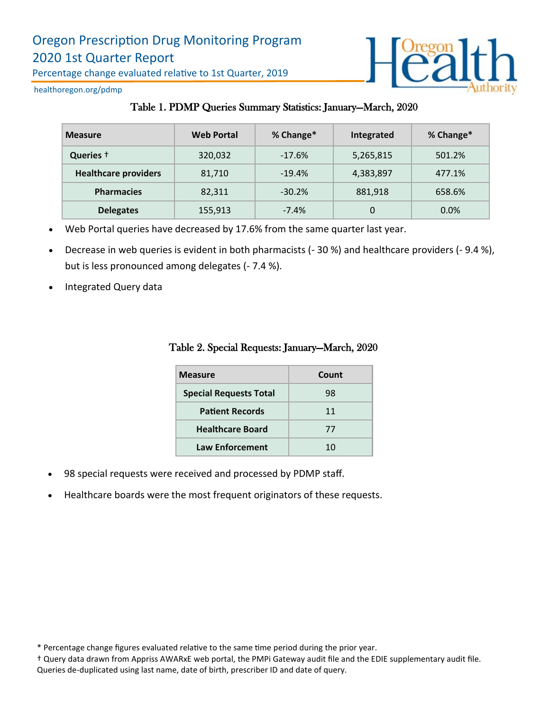

healthoregon.org/pdmp

### Table 1. PDMP Queries Summary Statistics: January—March, 2020

| <b>Measure</b>              | <b>Web Portal</b> | % Change* | Integrated | % Change* |
|-----------------------------|-------------------|-----------|------------|-----------|
| Queries +                   | 320,032           | $-17.6%$  | 5,265,815  | 501.2%    |
| <b>Healthcare providers</b> | 81,710            | $-19.4%$  | 4,383,897  | 477.1%    |
| <b>Pharmacies</b>           | 82,311            | $-30.2%$  | 881,918    | 658.6%    |
| <b>Delegates</b>            | 155,913           | $-7.4%$   | 0          | 0.0%      |

- Web Portal queries have decreased by 17.6% from the same quarter last year.
- Decrease in web queries is evident in both pharmacists (- 30 %) and healthcare providers (- 9.4 %), but is less pronounced among delegates (- 7.4 %).
- Integrated Query data

| <b>Measure</b>                | Count |  |
|-------------------------------|-------|--|
| <b>Special Requests Total</b> | 98    |  |
| <b>Patient Records</b>        | 11    |  |
| <b>Healthcare Board</b>       | 77    |  |
| <b>Law Enforcement</b>        | 10    |  |

#### Table 2. Special Requests: January—March, 2020

- 98 special requests were received and processed by PDMP staff.
- Healthcare boards were the most frequent originators of these requests.

<sup>\*</sup> Percentage change figures evaluated relative to the same time period during the prior year.

<sup>†</sup> Query data drawn from Appriss AWARxE web portal, the PMPi Gateway audit file and the EDIE supplementary audit file. Queries de-duplicated using last name, date of birth, prescriber ID and date of query.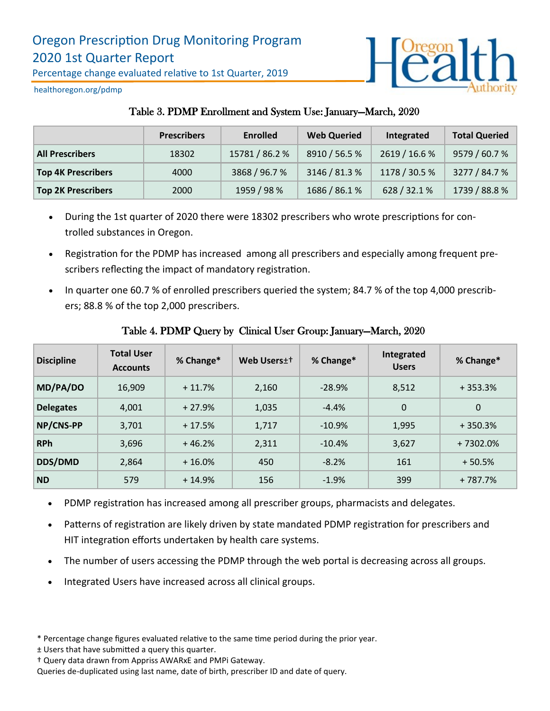

healthoregon.org/pdmp

## Table 3. PDMP Enrollment and System Use: January—March, 2020

|                           | <b>Prescribers</b> | <b>Enrolled</b> | <b>Web Queried</b> | Integrated    | <b>Total Queried</b> |
|---------------------------|--------------------|-----------------|--------------------|---------------|----------------------|
| <b>All Prescribers</b>    | 18302              | 15781 / 86.2 %  | 8910 / 56.5 %      | 2619 / 16.6 % | 9579 / 60.7 %        |
| <b>Top 4K Prescribers</b> | 4000               | 3868 / 96.7 %   | 3146 / 81.3 %      | 1178 / 30.5 % | 3277 / 84.7 %        |
| <b>Top 2K Prescribers</b> | 2000               | 1959 / 98 %     | 1686 / 86.1 %      | 628 / 32.1 %  | 1739 / 88.8 %        |

- During the 1st quarter of 2020 there were 18302 prescribers who wrote prescriptions for controlled substances in Oregon.
- Registration for the PDMP has increased among all prescribers and especially among frequent prescribers reflecting the impact of mandatory registration.
- In quarter one 60.7 % of enrolled prescribers queried the system; 84.7 % of the top 4,000 prescribers; 88.8 % of the top 2,000 prescribers.

| <b>Discipline</b> | <b>Total User</b><br><b>Accounts</b> | % Change* | Web Users <sup>++</sup> | % Change* | Integrated<br><b>Users</b> | % Change* |
|-------------------|--------------------------------------|-----------|-------------------------|-----------|----------------------------|-----------|
| MD/PA/DO          | 16,909                               | $+11.7%$  | 2,160                   | $-28.9%$  | 8,512                      | $+353.3%$ |
| <b>Delegates</b>  | 4,001                                | $+27.9%$  | 1,035                   | $-4.4%$   | $\Omega$                   | $\Omega$  |
| NP/CNS-PP         | 3,701                                | $+17.5%$  | 1,717                   | $-10.9%$  | 1,995                      | $+350.3%$ |
| <b>RPh</b>        | 3,696                                | $+46.2%$  | 2,311                   | $-10.4%$  | 3,627                      | +7302.0%  |
| DDS/DMD           | 2,864                                | $+16.0%$  | 450                     | $-8.2%$   | 161                        | $+50.5%$  |
| <b>ND</b>         | 579                                  | $+14.9%$  | 156                     | $-1.9%$   | 399                        | + 787.7%  |

### Table 4. PDMP Query by Clinical User Group: January—March, 2020

- PDMP registration has increased among all prescriber groups, pharmacists and delegates.
- Patterns of registration are likely driven by state mandated PDMP registration for prescribers and HIT integration efforts undertaken by health care systems.
- The number of users accessing the PDMP through the web portal is decreasing across all groups.
- Integrated Users have increased across all clinical groups.
- \* Percentage change figures evaluated relative to the same time period during the prior year.
- ± Users that have submitted a query this quarter.
- † Query data drawn from Appriss AWARxE and PMPi Gateway.

Queries de-duplicated using last name, date of birth, prescriber ID and date of query.